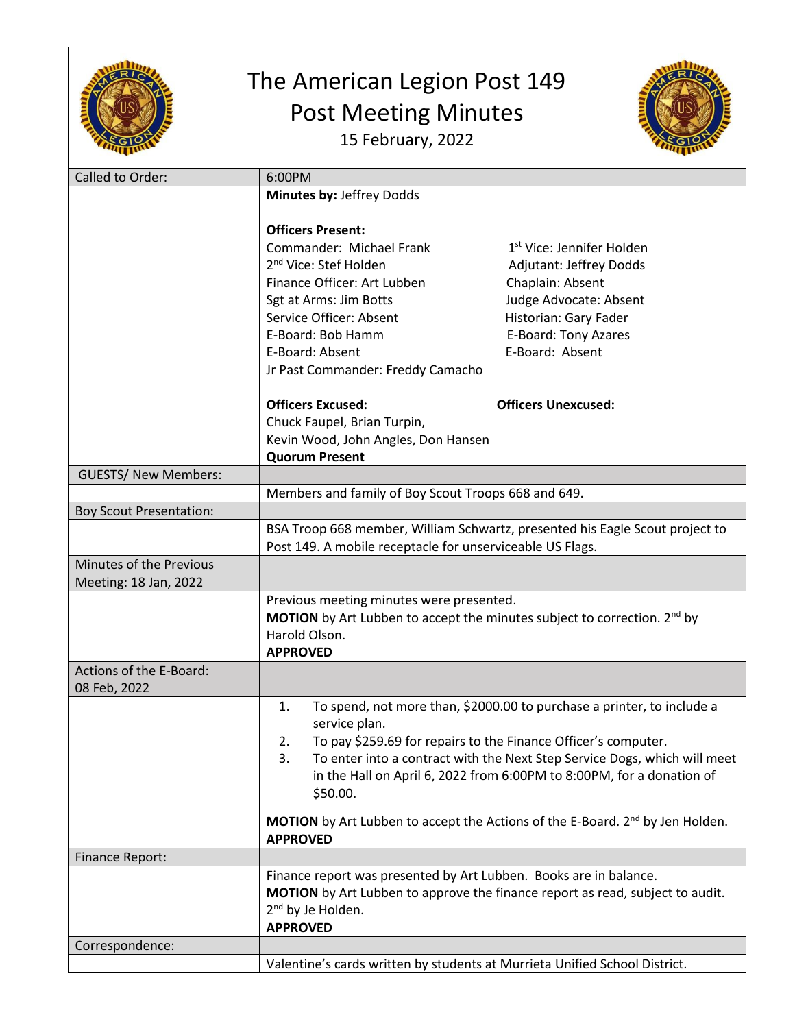

## The American Legion Post 149 Post Meeting Minutes 15 February, 2022



| Called to Order:               | 6:00PM                                                                               |                                                                                           |
|--------------------------------|--------------------------------------------------------------------------------------|-------------------------------------------------------------------------------------------|
|                                | Minutes by: Jeffrey Dodds                                                            |                                                                                           |
|                                |                                                                                      |                                                                                           |
|                                | <b>Officers Present:</b>                                                             |                                                                                           |
|                                | Commander: Michael Frank                                                             | 1 <sup>st</sup> Vice: Jennifer Holden                                                     |
|                                | 2 <sup>nd</sup> Vice: Stef Holden                                                    | Adjutant: Jeffrey Dodds                                                                   |
|                                | Finance Officer: Art Lubben                                                          | Chaplain: Absent                                                                          |
|                                | Sgt at Arms: Jim Botts                                                               | Judge Advocate: Absent                                                                    |
|                                | Service Officer: Absent                                                              | Historian: Gary Fader                                                                     |
|                                | E-Board: Bob Hamm                                                                    | E-Board: Tony Azares                                                                      |
|                                | E-Board: Absent                                                                      | E-Board: Absent                                                                           |
|                                |                                                                                      |                                                                                           |
|                                | Jr Past Commander: Freddy Camacho                                                    |                                                                                           |
|                                |                                                                                      |                                                                                           |
|                                | <b>Officers Excused:</b>                                                             | <b>Officers Unexcused:</b>                                                                |
|                                | Chuck Faupel, Brian Turpin,                                                          |                                                                                           |
|                                | Kevin Wood, John Angles, Don Hansen                                                  |                                                                                           |
|                                | <b>Quorum Present</b>                                                                |                                                                                           |
| <b>GUESTS/ New Members:</b>    |                                                                                      |                                                                                           |
|                                | Members and family of Boy Scout Troops 668 and 649.                                  |                                                                                           |
| <b>Boy Scout Presentation:</b> |                                                                                      |                                                                                           |
|                                |                                                                                      | BSA Troop 668 member, William Schwartz, presented his Eagle Scout project to              |
|                                | Post 149. A mobile receptacle for unserviceable US Flags.                            |                                                                                           |
| Minutes of the Previous        |                                                                                      |                                                                                           |
| Meeting: 18 Jan, 2022          |                                                                                      |                                                                                           |
|                                | Previous meeting minutes were presented.                                             |                                                                                           |
|                                | <b>MOTION</b> by Art Lubben to accept the minutes subject to correction. $2^{nd}$ by |                                                                                           |
|                                | Harold Olson.                                                                        |                                                                                           |
|                                | <b>APPROVED</b>                                                                      |                                                                                           |
| Actions of the E-Board:        |                                                                                      |                                                                                           |
|                                |                                                                                      |                                                                                           |
| 08 Feb, 2022                   |                                                                                      |                                                                                           |
|                                | To spend, not more than, \$2000.00 to purchase a printer, to include a<br>1.         |                                                                                           |
|                                | service plan.                                                                        |                                                                                           |
|                                | To pay \$259.69 for repairs to the Finance Officer's computer.<br>2.                 |                                                                                           |
|                                | To enter into a contract with the Next Step Service Dogs, which will meet<br>3.      |                                                                                           |
|                                |                                                                                      | in the Hall on April 6, 2022 from 6:00PM to 8:00PM, for a donation of                     |
|                                | \$50.00.                                                                             |                                                                                           |
|                                |                                                                                      | MOTION by Art Lubben to accept the Actions of the E-Board. 2 <sup>nd</sup> by Jen Holden. |
|                                | <b>APPROVED</b>                                                                      |                                                                                           |
|                                |                                                                                      |                                                                                           |
| <b>Finance Report:</b>         |                                                                                      |                                                                                           |
|                                | Finance report was presented by Art Lubben. Books are in balance.                    |                                                                                           |
|                                | MOTION by Art Lubben to approve the finance report as read, subject to audit.        |                                                                                           |
|                                | 2 <sup>nd</sup> by Je Holden.                                                        |                                                                                           |
|                                | <b>APPROVED</b>                                                                      |                                                                                           |
| Correspondence:                |                                                                                      |                                                                                           |
|                                | Valentine's cards written by students at Murrieta Unified School District.           |                                                                                           |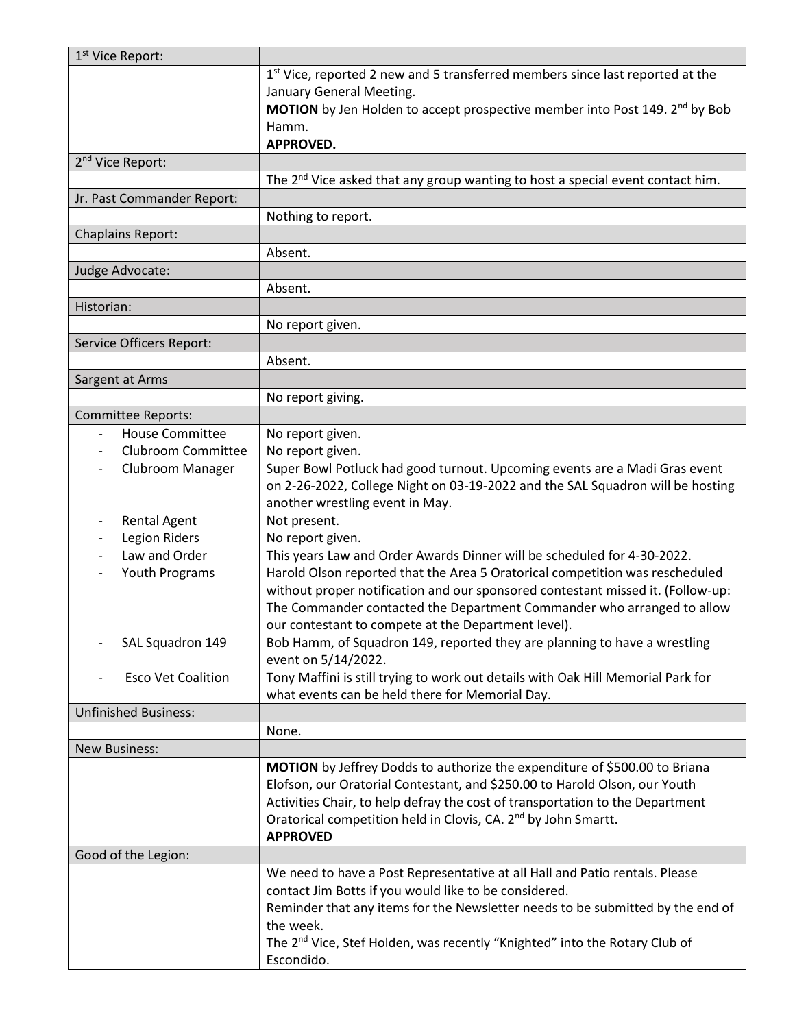| 1 <sup>st</sup> Vice Report:            |                                                                                           |  |
|-----------------------------------------|-------------------------------------------------------------------------------------------|--|
|                                         | 1 <sup>st</sup> Vice, reported 2 new and 5 transferred members since last reported at the |  |
|                                         | January General Meeting.                                                                  |  |
|                                         | MOTION by Jen Holden to accept prospective member into Post 149. 2 <sup>nd</sup> by Bob   |  |
|                                         | Hamm.                                                                                     |  |
|                                         | <b>APPROVED.</b>                                                                          |  |
| 2 <sup>nd</sup> Vice Report:            |                                                                                           |  |
|                                         | The $2nd$ Vice asked that any group wanting to host a special event contact him.          |  |
| Jr. Past Commander Report:              |                                                                                           |  |
|                                         | Nothing to report.                                                                        |  |
| <b>Chaplains Report:</b>                |                                                                                           |  |
|                                         | Absent.                                                                                   |  |
| Judge Advocate:                         |                                                                                           |  |
|                                         | Absent.                                                                                   |  |
| Historian:                              |                                                                                           |  |
|                                         | No report given.                                                                          |  |
| Service Officers Report:                |                                                                                           |  |
|                                         | Absent.                                                                                   |  |
|                                         |                                                                                           |  |
| Sargent at Arms                         |                                                                                           |  |
|                                         | No report giving.                                                                         |  |
| <b>Committee Reports:</b>               |                                                                                           |  |
| <b>House Committee</b><br>$\frac{1}{2}$ | No report given.                                                                          |  |
| <b>Clubroom Committee</b>               | No report given.                                                                          |  |
| Clubroom Manager<br>-                   | Super Bowl Potluck had good turnout. Upcoming events are a Madi Gras event                |  |
|                                         | on 2-26-2022, College Night on 03-19-2022 and the SAL Squadron will be hosting            |  |
|                                         | another wrestling event in May.                                                           |  |
| <b>Rental Agent</b>                     | Not present.                                                                              |  |
| <b>Legion Riders</b><br>$\overline{a}$  | No report given.                                                                          |  |
| Law and Order                           | This years Law and Order Awards Dinner will be scheduled for 4-30-2022.                   |  |
| Youth Programs                          | Harold Olson reported that the Area 5 Oratorical competition was rescheduled              |  |
|                                         | without proper notification and our sponsored contestant missed it. (Follow-up:           |  |
|                                         | The Commander contacted the Department Commander who arranged to allow                    |  |
|                                         | our contestant to compete at the Department level).                                       |  |
| SAL Squadron 149                        | Bob Hamm, of Squadron 149, reported they are planning to have a wrestling                 |  |
|                                         | event on 5/14/2022.                                                                       |  |
| <b>Esco Vet Coalition</b>               | Tony Maffini is still trying to work out details with Oak Hill Memorial Park for          |  |
|                                         | what events can be held there for Memorial Day.                                           |  |
| <b>Unfinished Business:</b>             |                                                                                           |  |
|                                         | None.                                                                                     |  |
| <b>New Business:</b>                    |                                                                                           |  |
|                                         | MOTION by Jeffrey Dodds to authorize the expenditure of \$500.00 to Briana                |  |
|                                         | Elofson, our Oratorial Contestant, and \$250.00 to Harold Olson, our Youth                |  |
|                                         | Activities Chair, to help defray the cost of transportation to the Department             |  |
|                                         | Oratorical competition held in Clovis, CA. 2 <sup>nd</sup> by John Smartt.                |  |
|                                         | <b>APPROVED</b>                                                                           |  |
| Good of the Legion:                     |                                                                                           |  |
|                                         | We need to have a Post Representative at all Hall and Patio rentals. Please               |  |
|                                         | contact Jim Botts if you would like to be considered.                                     |  |
|                                         | Reminder that any items for the Newsletter needs to be submitted by the end of            |  |
|                                         | the week.                                                                                 |  |
|                                         | The 2 <sup>nd</sup> Vice, Stef Holden, was recently "Knighted" into the Rotary Club of    |  |
|                                         | Escondido.                                                                                |  |
|                                         |                                                                                           |  |